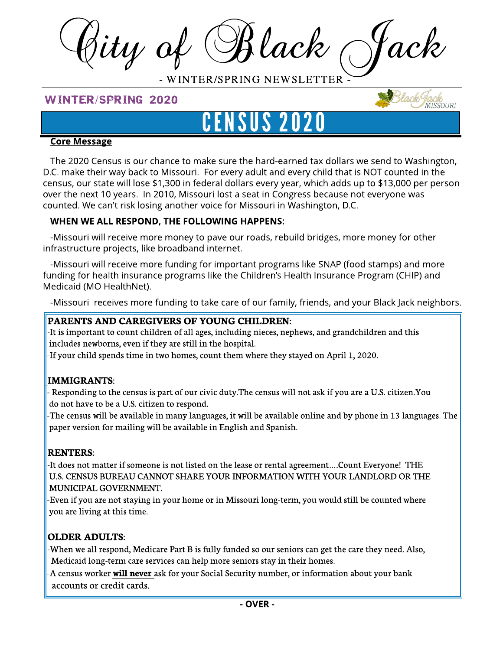$\it jity$  of  $\bigcirc$  ack

WINTER/SPRING NEWSLETTER

## WINTER/SPRING 2020



# CENSUS 2020

#### Core Message

The 2020 Census is our chance to make sure the hard-earned tax dollars we send to Washington, D.C. make their way back to Missouri. For every adult and every child that is NOT counted in the census, our state will lose \$1,300 in federal dollars every year, which adds up to \$13,000 per person over the next 10 years. In 2010, Missouri lost a seat in Congress because not everyone was counted. We can't risk losing another voice for Missouri in Washington, D.C.

## WHEN WE ALL RESPOND, THE FOLLOWING HAPPENS:

-Missouri will receive more money to pave our roads, rebuild bridges, more money for other infrastructure projects, like broadband internet.

-Missouri will receive more funding for important programs like SNAP (food stamps) and more funding for health insurance programs like the Children's Health Insurance Program (CHIP) and Medicaid (MO HealthNet).

-Missouri receives more funding to take care of our family, friends, and your Black Jack neighbors.

# PARENTS AND CAREGIVERS OF YOUNG CHILDREN:

-It is important to count children of all ages, including nieces, nephews, and grandchildren and this includes newborns, even if they are still in the hospital.

-If your child spends time in two homes, count them where they stayed on April 1, 2020.

# IMMIGRANTS:

- Responding to the census is part of our civic duty.The census will not ask if you are a U.S. citizen.You do not have to be a U.S. citizen to respond.

-The census will be available in many languages, it will be available online and by phone in 13 languages. The paper version for mailing will be available in English and Spanish.

#### RENTERS:

-It does not matter if someone is not listed on the lease or rental agreement....Count Everyone! THE U.S. CENSUS BUREAU CANNOT SHARE YOUR INFORMATION WITH YOUR LANDLORD OR THE MUNICIPAL GOVERNMENT.

-Even if you are not staying in your home or in Missouri long-term, you would still be counted where you are living at this time.

# OLDER ADULTS:

-When we all respond, Medicare Part B is fully funded so our seniors can get the care they need. Also, Medicaid long-term care services can help more seniors stay in their homes.

-A census worker will never ask for your Social Security number, or information about your bank accounts or credit cards.